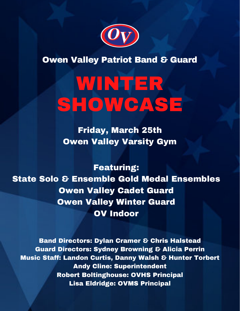

**Owen Valley Patriot Band & Guard** 

# WINTER SHOWCASE

Friday, March 25th Owen Valley Varsity Gym

Featuring: State Solo & Ensemble Gold Medal Ensembles Owen Valley Cadet Guard Owen Valley Winter Guard OV Indoor

Band Directors: Dylan Cramer & Chris Halstead Guard Directors: Sydney Browning & Alicia Perrin Music Staff: Landon Curtis, Danny Walsh & Hunter Torbert Andy Cline: Superintendent Robert Boltinghouse: OVHS Principal Lisa Eldridge: OVMS Principal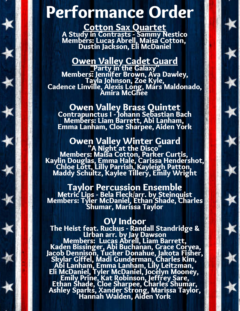## Performance Order

Cotton Sax Quartet A Study in Contrasts - Sammy Nestico Members: Lucas Abrell, Maisa Cotton, Dustin Jackson, Eli McDaniel

#### **Owen Valley Cadet Guard**

"Party in the Galaxy" Members: Jennifer Brown, Ava Dawley, Tayla Johnson, Zoe Kyle, Cadence Linville, Alexis Long, Mars Maldonado, Amira McGhee

Owen Valley Brass Quintet Contrapunctus I - Johann Sebastian Bach Members: Liam Barrett, Abi Lanham, Emma Lanham, Cloe Sharpee, Aiden York

### Owen Valley Winter Guard

"A Night at the Disco" Members: Maisa Cotton, Parker Curtis, Kaylin Douglas, Emma Hale, Carissa Hendershot, Chloe Lott, Lilly Parrish, Kayleigh Patton, Maddy Schultz, Kaylee Tillery, Emily Wright

Taylor Percussion Ensemble Metric Lips - Bela Fleck/arr. by Steinquist Members: Tyler McDaniel, Ethan Shade, Charles Shumar, Marissa Taylor

#### OV Indoor

The Heist feat. Ruckus - Randall Standridge & Urban arr. by Jay Dawson Members: Lucas Abrell, Liam Barrett, Kaden Bissinger, Abi Buchanan, Grace Coryea, Jacob Dennison, Tucker Donahue, Jakota Fisher, Skylar Giffel, Madi Gunderman, Charles Kim, Abi Lanham, Emma Lanham, Lily Leitzman, Eli McDaniel, Tyler McDaniel, Jocelyn Mooney, Emily Prine, Kat Robinson, Jeffrey Sare, Ethan Shade, Cloe Sharpee, Charles Shumar, Ashley Sparks, Xander Strong, Marissa Taylor, Hannah Walden, Aiden York